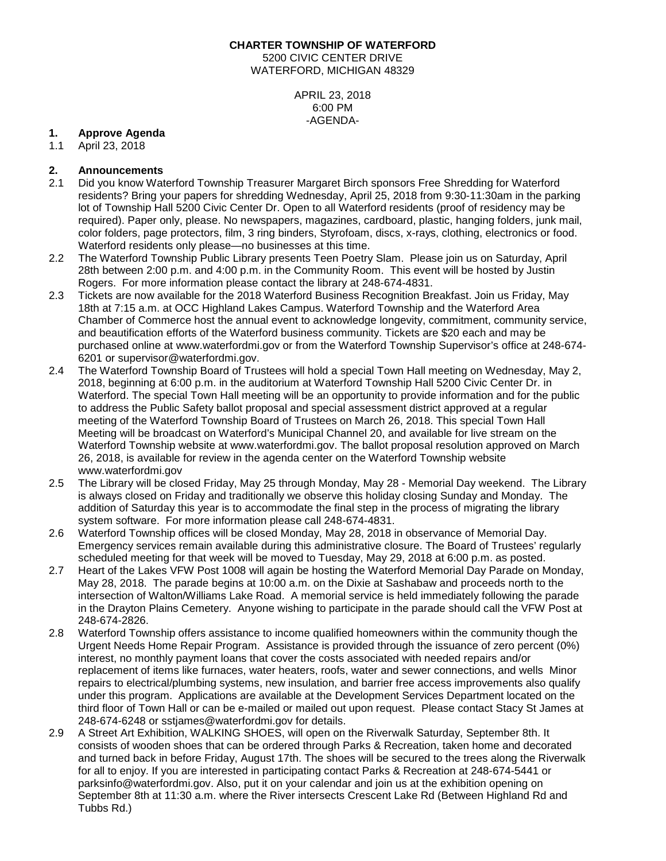#### **CHARTER TOWNSHIP OF WATERFORD**

5200 CIVIC CENTER DRIVE WATERFORD, MICHIGAN 48329

> APRIL 23, 2018 6:00 PM -AGENDA-

# **1. Approve Agenda**

April 23, 2018

# **2. Announcements**

- 2.1 Did you know Waterford Township Treasurer Margaret Birch sponsors Free Shredding for Waterford residents? Bring your papers for shredding Wednesday, April 25, 2018 from 9:30-11:30am in the parking lot of Township Hall 5200 Civic Center Dr. Open to all Waterford residents (proof of residency may be required). Paper only, please. No newspapers, magazines, cardboard, plastic, hanging folders, junk mail, color folders, page protectors, film, 3 ring binders, Styrofoam, discs, x-rays, clothing, electronics or food. Waterford residents only please—no businesses at this time.
- 2.2 The Waterford Township Public Library presents Teen Poetry Slam. Please join us on Saturday, April 28th between 2:00 p.m. and 4:00 p.m. in the Community Room. This event will be hosted by Justin Rogers. For more information please contact the library at 248-674-4831.
- 2.3 Tickets are now available for the 2018 Waterford Business Recognition Breakfast. Join us Friday, May 18th at 7:15 a.m. at OCC Highland Lakes Campus. Waterford Township and the Waterford Area Chamber of Commerce host the annual event to acknowledge longevity, commitment, community service, and beautification efforts of the Waterford business community. Tickets are \$20 each and may be purchased online at www.waterfordmi.gov or from the Waterford Township Supervisor's office at 248-674- 6201 or supervisor@waterfordmi.gov.
- 2.4 The Waterford Township Board of Trustees will hold a special Town Hall meeting on Wednesday, May 2, 2018, beginning at 6:00 p.m. in the auditorium at Waterford Township Hall 5200 Civic Center Dr. in Waterford. The special Town Hall meeting will be an opportunity to provide information and for the public to address the Public Safety ballot proposal and special assessment district approved at a regular meeting of the Waterford Township Board of Trustees on March 26, 2018. This special Town Hall Meeting will be broadcast on Waterford's Municipal Channel 20, and available for live stream on the Waterford Township website at www.waterfordmi.gov. The ballot proposal resolution approved on March 26, 2018, is available for review in the agenda center on the Waterford Township website [www.waterfordmi.gov](http://www.waterfordmi.gov/)
- 2.5 The Library will be closed Friday, May 25 through Monday, May 28 Memorial Day weekend. The Library is always closed on Friday and traditionally we observe this holiday closing Sunday and Monday. The addition of Saturday this year is to accommodate the final step in the process of migrating the library system software. For more information please call 248-674-4831.
- 2.6 Waterford Township offices will be closed Monday, May 28, 2018 in observance of Memorial Day. Emergency services remain available during this administrative closure. The Board of Trustees' regularly scheduled meeting for that week will be moved to Tuesday, May 29, 2018 at 6:00 p.m. as posted.
- 2.7 Heart of the Lakes VFW Post 1008 will again be hosting the Waterford Memorial Day Parade on Monday, May 28, 2018. The parade begins at 10:00 a.m. on the Dixie at Sashabaw and proceeds north to the intersection of Walton/Williams Lake Road. A memorial service is held immediately following the parade in the Drayton Plains Cemetery. Anyone wishing to participate in the parade should call the VFW Post at 248-674-2826.
- 2.8 Waterford Township offers assistance to income qualified homeowners within the community though the Urgent Needs Home Repair Program. Assistance is provided through the issuance of zero percent (0%) interest, no monthly payment loans that cover the costs associated with needed repairs and/or replacement of items like furnaces, water heaters, roofs, water and sewer connections, and wells Minor repairs to electrical/plumbing systems, new insulation, and barrier free access improvements also qualify under this program. Applications are available at the Development Services Department located on the third floor of Town Hall or can be e-mailed or mailed out upon request. Please contact Stacy St James at 248-674-6248 or sstjames@waterfordmi.gov for details.
- 2.9 A Street Art Exhibition, WALKING SHOES, will open on the Riverwalk Saturday, September 8th. It consists of wooden shoes that can be ordered through Parks & Recreation, taken home and decorated and turned back in before Friday, August 17th. The shoes will be secured to the trees along the Riverwalk for all to enjoy. If you are interested in participating contact Parks & Recreation at 248-674-5441 or parksinfo@waterfordmi.gov. Also, put it on your calendar and join us at the exhibition opening on September 8th at 11:30 a.m. where the River intersects Crescent Lake Rd (Between Highland Rd and Tubbs Rd.)